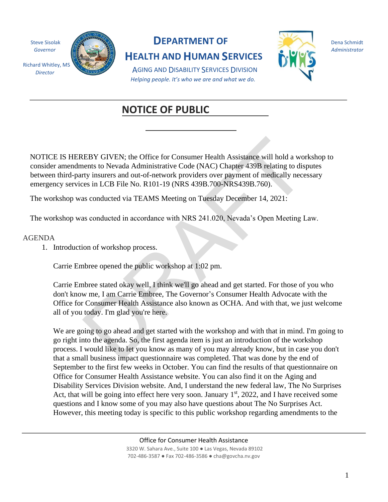

# **NOTICE OF PUBLICKEW**

# **DEDEE**

EBY GIVEN; the Office for Consumer Health Assistance will hold a wordents to Nevada Administrative Code (NAC) Chapter 439B relating to disply insurers and out-of-network providers over payment of medically necess in LCB Fi NOTICE IS HEREBY GIVEN; the Office for Consumer Health Assistance will hold a workshop to consider amendments to Nevada Administrative Code (NAC) Chapter 439B relating to disputes between third-party insurers and out-of-network providers over payment of medically necessary emergency services in LCB File No. R101-19 (NRS 439B.700-NRS439B.760).

The workshop was conducted via TEAMS Meeting on Tuesday December 14, 2021:

The workshop was conducted in accordance with NRS 241.020, Nevada's Open Meeting Law.

#### AGENDA

1. Introduction of workshop process.

Carrie Embree opened the public workshop at 1:02 pm.

 Office for Consumer Health Assistance also known as OCHA. And with that, we just welcome Carrie Embree stated okay well, I think we'll go ahead and get started. For those of you who don't know me, I am Carrie Embree, The Governor's Consumer Health Advocate with the all of you today. I'm glad you're here.

 Office for Consumer Health Assistance website. You can also find it on the Aging and We are going to go ahead and get started with the workshop and with that in mind. I'm going to go right into the agenda. So, the first agenda item is just an introduction of the workshop process. I would like to let you know as many of you may already know, but in case you don't that a small business impact questionnaire was completed. That was done by the end of September to the first few weeks in October. You can find the results of that questionnaire on Disability Services Division website. And, I understand the new federal law, The No Surprises Act, that will be going into effect here very soon. January  $1<sup>st</sup>$ , 2022, and I have received some questions and I know some of you may also have questions about The No Surprises Act. However, this meeting today is specific to this public workshop regarding amendments to the

> Office for Consumer Health Assistance 3320 W. Sahara Ave., Suite 100 ● Las Vegas, Nevada 89102 702-486-3587 ● Fax 702-486-3586 ● cha@govcha.nv.gov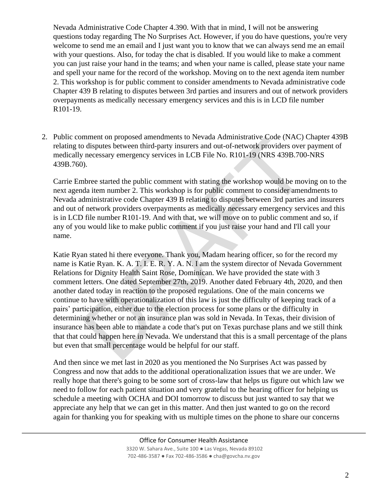Nevada Administrative Code Chapter 4.390. With that in mind, I will not be answering questions today regarding The No Surprises Act. However, if you do have questions, you're very welcome to send me an email and I just want you to know that we can always send me an email with your questions. Also, for today the chat is disabled. If you would like to make a comment you can just raise your hand in the teams; and when your name is called, please state your name and spell your name for the record of the workshop. Moving on to the next agenda item number 2. This workshop is for public comment to consider amendments to Nevada administrative code Chapter 439 B relating to disputes between 3rd parties and insurers and out of network providers overpayments as medically necessary emergency services and this is in LCD file number R101-19.

2. Public comment on proposed amendments to Nevada Administrative Code (NAC) Chapter 439B relating to disputes between third-party insurers and out-of-network providers over payment of medically necessary emergency services in LCB File No. R101-19 (NRS 439B.700-NRS 439B.760).

Carrie Embree started the public comment with stating the workshop would be moving on to the next agenda item number 2. This workshop is for public comment to consider amendments to Nevada administrative code Chapter 439 B relating to disputes between 3rd parties and insurers and out of network providers overpayments as medically necessary emergency services and this is in LCD file number R101-19. And with that, we will move on to public comment and so, if any of you would like to make public comment if you just raise your hand and I'll call your name.

mment on proposed amendments to Newada Administrative Code (NAC)<br>of digivets between third-party insurers and out-of-network providers over<br>of a signary energency services in LCB File No. R101-19 (NRS 439B.700<br>of a tiem nu name is Katie Ryan. K. A. T. I. E. R. Y. A. N. I am the system director of Nevada Government Katie Ryan stated hi there everyone. Thank you, Madam hearing officer, so for the record my Relations for Dignity Health Saint Rose, Dominican. We have provided the state with 3 comment letters. One dated September 27th, 2019. Another dated February 4th, 2020, and then another dated today in reaction to the proposed regulations. One of the main concerns we continue to have with operationalization of this law is just the difficulty of keeping track of a pairs' participation, either due to the election process for some plans or the difficulty in determining whether or not an insurance plan was sold in Nevada. In Texas, their division of insurance has been able to mandate a code that's put on Texas purchase plans and we still think that that could happen here in Nevada. We understand that this is a small percentage of the plans but even that small percentage would be helpful for our staff.

And then since we met last in 2020 as you mentioned the No Surprises Act was passed by Congress and now that adds to the additional operationalization issues that we are under. We really hope that there's going to be some sort of cross-law that helps us figure out which law we need to follow for each patient situation and very grateful to the hearing officer for helping us schedule a meeting with OCHA and DOI tomorrow to discuss but just wanted to say that we appreciate any help that we can get in this matter. And then just wanted to go on the record again for thanking you for speaking with us multiple times on the phone to share our concerns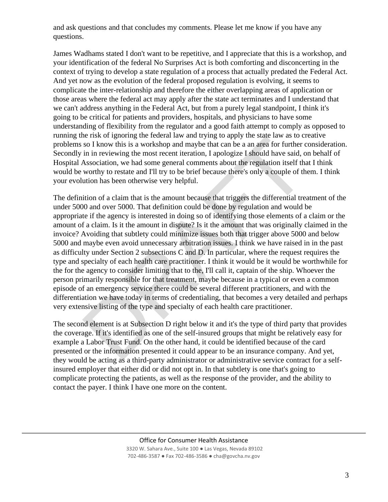and ask questions and that concludes my comments. Please let me know if you have any questions.

 problems so I know this is a workshop and maybe that can be a an area for further consideration. Secondly in in reviewing the most recent iteration, I apologize I should have said, on behalf of James Wadhams stated I don't want to be repetitive, and I appreciate that this is a workshop, and your identification of the federal No Surprises Act is both comforting and disconcerting in the context of trying to develop a state regulation of a process that actually predated the Federal Act. And yet now as the evolution of the federal proposed regulation is evolving, it seems to complicate the inter-relationship and therefore the either overlapping areas of application or those areas where the federal act may apply after the state act terminates and I understand that we can't address anything in the Federal Act, but from a purely legal standpoint, I think it's going to be critical for patients and providers, hospitals, and physicians to have some understanding of flexibility from the regulator and a good faith attempt to comply as opposed to running the risk of ignoring the federal law and trying to apply the state law as to creative Hospital Association, we had some general comments about the regulation itself that I think would be worthy to restate and I'll try to be brief because there's only a couple of them. I think your evolution has been otherwise very helpful.

Eriss or spioning in textral aiw aint uying to depty in estate aw as ot can<br>so I know this is a workshop and maybe that can be a an area for further in in reviewing the most recent iteration, I apologize I should have said The definition of a claim that is the amount because that triggers the differential treatment of the under 5000 and over 5000. That definition could be done by regulation and would be appropriate if the agency is interested in doing so of identifying those elements of a claim or the amount of a claim. Is it the amount in dispute? Is it the amount that was originally claimed in the invoice? Avoiding that subtlety could minimize issues both that trigger above 5000 and below 5000 and maybe even avoid unnecessary arbitration issues. I think we have raised in in the past as difficulty under Section 2 subsections C and D. In particular, where the request requires the type and specialty of each health care practitioner. I think it would be it would be worthwhile for the for the agency to consider limiting that to the, I'll call it, captain of the ship. Whoever the person primarily responsible for that treatment, maybe because in a typical or even a common episode of an emergency service there could be several different practitioners, and with the differentiation we have today in terms of credentialing, that becomes a very detailed and perhaps very extensive listing of the type and specialty of each health care practitioner.

The second element is at Subsection D right below it and it's the type of third party that provides the coverage. If it's identified as one of the self-insured groups that might be relatively easy for example a Labor Trust Fund. On the other hand, it could be identified because of the card presented or the information presented it could appear to be an insurance company. And yet, they would be acting as a third-party administrator or administrative service contract for a selfinsured employer that either did or did not opt in. In that subtlety is one that's going to complicate protecting the patients, as well as the response of the provider, and the ability to contact the payer. I think I have one more on the content.

#### Office for Consumer Health Assistance

3320 W. Sahara Ave., Suite 100 ● Las Vegas, Nevada 89102 702-486-3587 ● Fax 702-486-3586 ● cha@govcha.nv.gov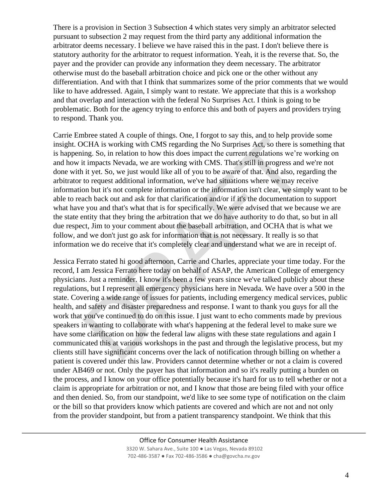There is a provision in Section 3 Subsection 4 which states very simply an arbitrator selected pursuant to subsection 2 may request from the third party any additional information the arbitrator deems necessary. I believe we have raised this in the past. I don't believe there is statutory authority for the arbitrator to request information. Yeah, it is the reverse that. So, the payer and the provider can provide any information they deem necessary. The arbitrator otherwise must do the baseball arbitration choice and pick one or the other without any differentiation. And with that I think that summarizes some of the prior comments that we would like to have addressed. Again, I simply want to restate. We appreciate that this is a workshop and that overlap and interaction with the federal No Surprises Act. I think is going to be problematic. Both for the agency trying to enforce this and both of payers and providers trying to respond. Thank you.

brets sacar A couple or unings. Onc, 1 royed to say uns, sard on loop proof.<br>DCHA is working with CMS regarding the No Surprises Act, so there is so<br>ing. So, in relation to how this does impact the current regulations we'r Carrie Embree stated A couple of things. One, I forgot to say this, and to help provide some insight. OCHA is working with CMS regarding the No Surprises Act, so there is something that is happening. So, in relation to how this does impact the current regulations we're working on and how it impacts Nevada, we are working with CMS. That's still in progress and we're not done with it yet. So, we just would like all of you to be aware of that. And also, regarding the arbitrator to request additional information, we've had situations where we may receive information but it's not complete information or the information isn't clear, we simply want to be able to reach back out and ask for that clarification and/or if it's the documentation to support what have you and that's what that is for specifically. We were advised that we because we are the state entity that they bring the arbitration that we do have authority to do that, so but in all due respect, Jim to your comment about the baseball arbitration, and OCHA that is what we follow, and we don't just go ask for information that is not necessary. It really is so that information we do receive that it's completely clear and understand what we are in receipt of.

Jessica Ferrato stated hi good afternoon, Carrie and Charles, appreciate your time today. For the record, I am Jessica Ferrato here today on behalf of ASAP, the American College of emergency physicians. Just a reminder. I know it's been a few years since we've talked publicly about these regulations, but I represent all emergency physicians here in Nevada. We have over a 500 in the state. Covering a wide range of issues for patients, including emergency medical services, public health, and safety and disaster preparedness and response. I want to thank you guys for all the work that you've continued to do on this issue. I just want to echo comments made by previous speakers in wanting to collaborate with what's happening at the federal level to make sure we have some clarification on how the federal law aligns with these state regulations and again I communicated this at various workshops in the past and through the legislative process, but my clients still have significant concerns over the lack of notification through billing on whether a patient is covered under this law. Providers cannot determine whether or not a claim is covered under AB469 or not. Only the payer has that information and so it's really putting a burden on the process, and I know on your office potentially because it's hard for us to tell whether or not a claim is appropriate for arbitration or not, and I know that those are being filed with your office and then denied. So, from our standpoint, we'd like to see some type of notification on the claim or the bill so that providers know which patients are covered and which are not and not only from the provider standpoint, but from a patient transparency standpoint. We think that this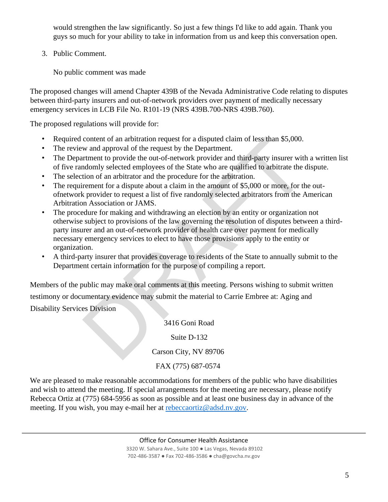would strengthen the law significantly. So just a few things I'd like to add again. Thank you guys so much for your ability to take in information from us and keep this conversation open.

3. Public Comment.

No public comment was made

The proposed changes will amend Chapter 439B of the Nevada Administrative Code relating to disputes between third-party insurers and out-of-network providers over payment of medically necessary emergency services in LCB File No. R101-19 (NRS 439B.700-NRS 439B.760).

The proposed regulations will provide for:

- Required content of an arbitration request for a disputed claim of less than \$5,000.
- The review and approval of the request by the Department.
- The Department to provide the out-of-network provider and third-party insurer with a written list of five randomly selected employees of the State who are qualified to arbitrate the dispute.
- The selection of an arbitrator and the procedure for the arbitration.
- The requirement for a dispute about a claim in the amount of \$5,000 or more, for the outofnetwork provider to request a list of five randomly selected arbitrators from the American Arbitration Association or JAMS.
- content of an arbitration request for a disputed claim of less than \$5,000.<br>
wand approval of the request by the Department.<br>
wand approval of the request by the Department to provide the out-of-network provider and third-• The procedure for making and withdrawing an election by an entity or organization not otherwise subject to provisions of the law governing the resolution of disputes between a thirdparty insurer and an out-of-network provider of health care over payment for medically necessary emergency services to elect to have those provisions apply to the entity or organization.
- A third-party insurer that provides coverage to residents of the State to annually submit to the Department certain information for the purpose of compiling a report.

Members of the public may make oral comments at this meeting. Persons wishing to submit written testimony or documentary evidence may submit the material to Carrie Embree at: Aging and Disability Services Division

3416 Goni Road

# Suite D-132

Carson City, NV 89706

# FAX (775) 687-0574

We are pleased to make reasonable accommodations for members of the public who have disabilities and wish to attend the meeting. If special arrangements for the meeting are necessary, please notify Rebecca Ortiz at (775) 684-5956 as soon as possible and at least one business day in advance of the meeting. If you wish, you may e-mail her at rebeccaortiz@adsd.nv.gov.

Office for Consumer Health Assistance

3320 W. Sahara Ave., Suite 100 ● Las Vegas, Nevada 89102 702-486-3587 ● Fax 702-486-3586 ● cha@govcha.nv.gov